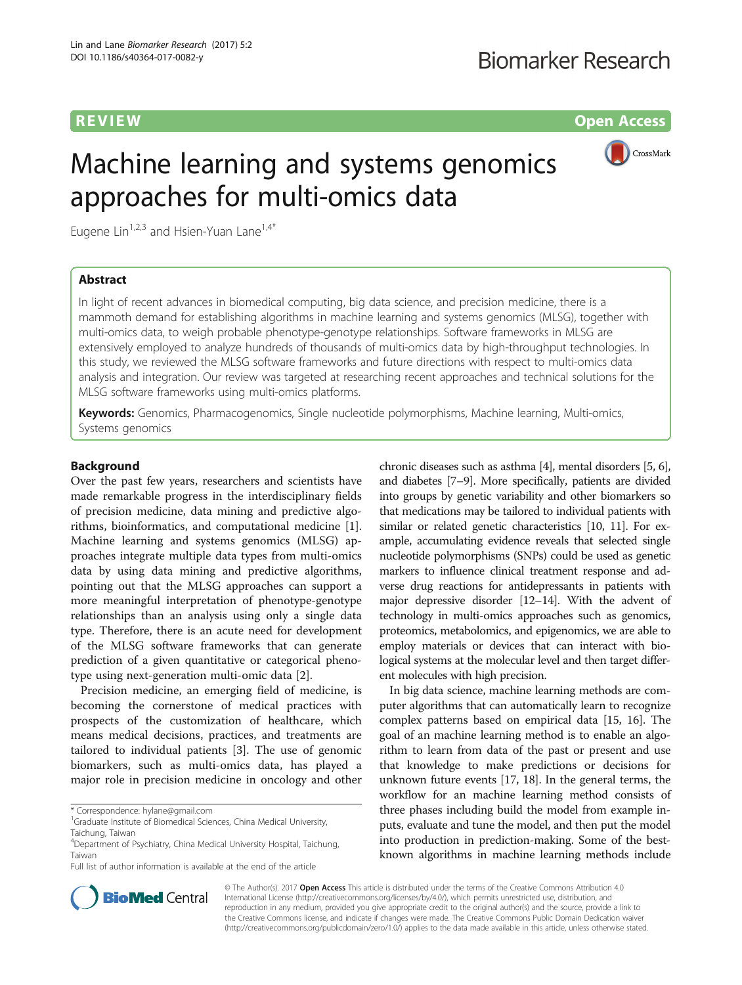**REVIEW REVIEW CONSTRUCTION** 



# Machine learning and systems genomics approaches for multi-omics data

Eugene Lin<sup>1,2,3</sup> and Hsien-Yuan Lane<sup>1,4\*</sup>

# Abstract

In light of recent advances in biomedical computing, big data science, and precision medicine, there is a mammoth demand for establishing algorithms in machine learning and systems genomics (MLSG), together with multi-omics data, to weigh probable phenotype-genotype relationships. Software frameworks in MLSG are extensively employed to analyze hundreds of thousands of multi-omics data by high-throughput technologies. In this study, we reviewed the MLSG software frameworks and future directions with respect to multi-omics data analysis and integration. Our review was targeted at researching recent approaches and technical solutions for the MLSG software frameworks using multi-omics platforms.

Keywords: Genomics, Pharmacogenomics, Single nucleotide polymorphisms, Machine learning, Multi-omics, Systems genomics

# Background

Over the past few years, researchers and scientists have made remarkable progress in the interdisciplinary fields of precision medicine, data mining and predictive algorithms, bioinformatics, and computational medicine [\[1](#page-4-0)]. Machine learning and systems genomics (MLSG) approaches integrate multiple data types from multi-omics data by using data mining and predictive algorithms, pointing out that the MLSG approaches can support a more meaningful interpretation of phenotype-genotype relationships than an analysis using only a single data type. Therefore, there is an acute need for development of the MLSG software frameworks that can generate prediction of a given quantitative or categorical phenotype using next-generation multi-omic data [[2\]](#page-4-0).

Precision medicine, an emerging field of medicine, is becoming the cornerstone of medical practices with prospects of the customization of healthcare, which means medical decisions, practices, and treatments are tailored to individual patients [[3\]](#page-4-0). The use of genomic biomarkers, such as multi-omics data, has played a major role in precision medicine in oncology and other

chronic diseases such as asthma [\[4\]](#page-4-0), mental disorders [\[5](#page-4-0), [6](#page-4-0)], and diabetes [[7](#page-4-0)–[9\]](#page-4-0). More specifically, patients are divided into groups by genetic variability and other biomarkers so that medications may be tailored to individual patients with similar or related genetic characteristics [\[10](#page-4-0), [11](#page-4-0)]. For example, accumulating evidence reveals that selected single nucleotide polymorphisms (SNPs) could be used as genetic markers to influence clinical treatment response and adverse drug reactions for antidepressants in patients with major depressive disorder [\[12](#page-4-0)–[14\]](#page-4-0). With the advent of technology in multi-omics approaches such as genomics, proteomics, metabolomics, and epigenomics, we are able to employ materials or devices that can interact with biological systems at the molecular level and then target different molecules with high precision.

In big data science, machine learning methods are computer algorithms that can automatically learn to recognize complex patterns based on empirical data [\[15](#page-4-0), [16](#page-4-0)]. The goal of an machine learning method is to enable an algorithm to learn from data of the past or present and use that knowledge to make predictions or decisions for unknown future events [[17, 18](#page-4-0)]. In the general terms, the workflow for an machine learning method consists of three phases including build the model from example inputs, evaluate and tune the model, and then put the model into production in prediction-making. Some of the bestknown algorithms in machine learning methods include



© The Author(s). 2017 **Open Access** This article is distributed under the terms of the Creative Commons Attribution 4.0 International License [\(http://creativecommons.org/licenses/by/4.0/](http://creativecommons.org/licenses/by/4.0/)), which permits unrestricted use, distribution, and reproduction in any medium, provided you give appropriate credit to the original author(s) and the source, provide a link to the Creative Commons license, and indicate if changes were made. The Creative Commons Public Domain Dedication waiver [\(http://creativecommons.org/publicdomain/zero/1.0/](http://creativecommons.org/publicdomain/zero/1.0/)) applies to the data made available in this article, unless otherwise stated.

<sup>\*</sup> Correspondence: [hylane@gmail.com](mailto:hylane@gmail.com) <sup>1</sup>

<sup>&</sup>lt;sup>1</sup>Graduate Institute of Biomedical Sciences, China Medical University, Taichung, Taiwan

<sup>4</sup> Department of Psychiatry, China Medical University Hospital, Taichung, Taiwan

Full list of author information is available at the end of the article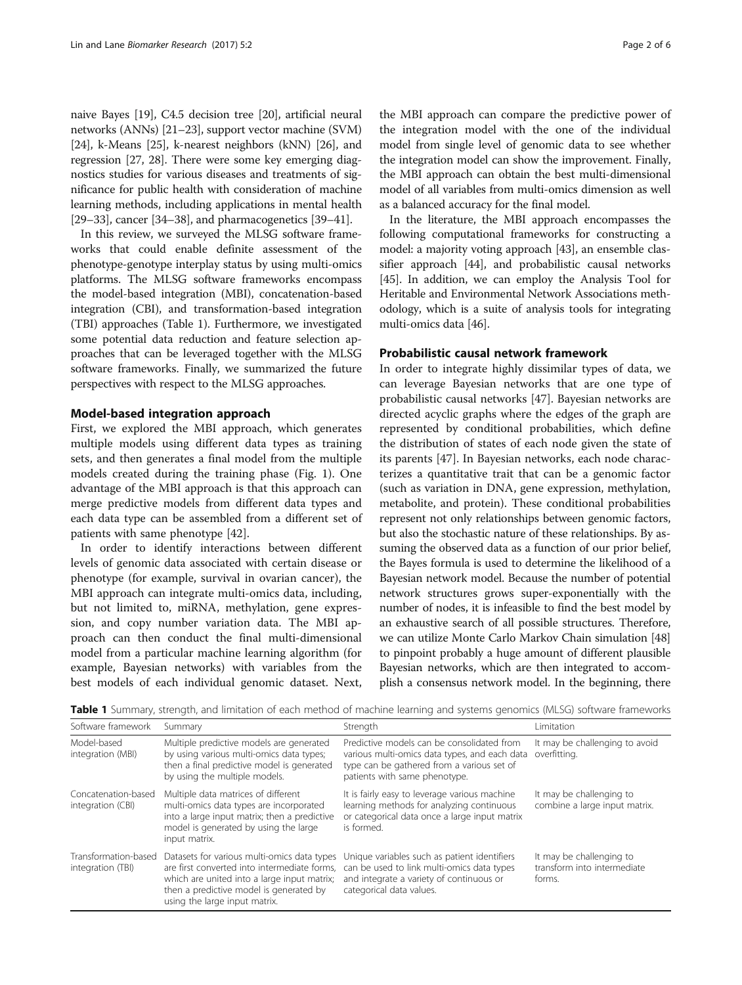naive Bayes [[19](#page-4-0)], C4.5 decision tree [[20](#page-5-0)], artificial neural networks (ANNs) [\[21](#page-5-0)–[23](#page-5-0)], support vector machine (SVM) [[24](#page-5-0)], k-Means [[25](#page-5-0)], k-nearest neighbors (kNN) [[26](#page-5-0)], and regression [\[27, 28](#page-5-0)]. There were some key emerging diagnostics studies for various diseases and treatments of significance for public health with consideration of machine learning methods, including applications in mental health [[29](#page-5-0)–[33\]](#page-5-0), cancer [[34](#page-5-0)–[38\]](#page-5-0), and pharmacogenetics [[39](#page-5-0)–[41\]](#page-5-0).

In this review, we surveyed the MLSG software frameworks that could enable definite assessment of the phenotype-genotype interplay status by using multi-omics platforms. The MLSG software frameworks encompass the model-based integration (MBI), concatenation-based integration (CBI), and transformation-based integration (TBI) approaches (Table 1). Furthermore, we investigated some potential data reduction and feature selection approaches that can be leveraged together with the MLSG software frameworks. Finally, we summarized the future perspectives with respect to the MLSG approaches.

# Model-based integration approach

First, we explored the MBI approach, which generates multiple models using different data types as training sets, and then generates a final model from the multiple models created during the training phase (Fig. [1](#page-2-0)). One advantage of the MBI approach is that this approach can merge predictive models from different data types and each data type can be assembled from a different set of patients with same phenotype [\[42\]](#page-5-0).

In order to identify interactions between different levels of genomic data associated with certain disease or phenotype (for example, survival in ovarian cancer), the MBI approach can integrate multi-omics data, including, but not limited to, miRNA, methylation, gene expression, and copy number variation data. The MBI approach can then conduct the final multi-dimensional model from a particular machine learning algorithm (for example, Bayesian networks) with variables from the best models of each individual genomic dataset. Next,

the MBI approach can compare the predictive power of the integration model with the one of the individual model from single level of genomic data to see whether the integration model can show the improvement. Finally, the MBI approach can obtain the best multi-dimensional model of all variables from multi-omics dimension as well as a balanced accuracy for the final model.

In the literature, the MBI approach encompasses the following computational frameworks for constructing a model: a majority voting approach [\[43\]](#page-5-0), an ensemble classifier approach [[44](#page-5-0)], and probabilistic causal networks [[45](#page-5-0)]. In addition, we can employ the Analysis Tool for Heritable and Environmental Network Associations methodology, which is a suite of analysis tools for integrating multi-omics data [\[46\]](#page-5-0).

# Probabilistic causal network framework

In order to integrate highly dissimilar types of data, we can leverage Bayesian networks that are one type of probabilistic causal networks [\[47](#page-5-0)]. Bayesian networks are directed acyclic graphs where the edges of the graph are represented by conditional probabilities, which define the distribution of states of each node given the state of its parents [\[47](#page-5-0)]. In Bayesian networks, each node characterizes a quantitative trait that can be a genomic factor (such as variation in DNA, gene expression, methylation, metabolite, and protein). These conditional probabilities represent not only relationships between genomic factors, but also the stochastic nature of these relationships. By assuming the observed data as a function of our prior belief, the Bayes formula is used to determine the likelihood of a Bayesian network model. Because the number of potential network structures grows super-exponentially with the number of nodes, it is infeasible to find the best model by an exhaustive search of all possible structures. Therefore, we can utilize Monte Carlo Markov Chain simulation [[48](#page-5-0)] to pinpoint probably a huge amount of different plausible Bayesian networks, which are then integrated to accomplish a consensus network model. In the beginning, there

Table 1 Summary, strength, and limitation of each method of machine learning and systems genomics (MLSG) software frameworks

| Software framework                        | Summary                                                                                                                                                                                                                | Strength                                                                                                                                                                   | Limitation                                                        |
|-------------------------------------------|------------------------------------------------------------------------------------------------------------------------------------------------------------------------------------------------------------------------|----------------------------------------------------------------------------------------------------------------------------------------------------------------------------|-------------------------------------------------------------------|
| Model-based<br>integration (MBI)          | Multiple predictive models are generated<br>by using various multi-omics data types;<br>then a final predictive model is generated<br>by using the multiple models.                                                    | Predictive models can be consolidated from<br>various multi-omics data types, and each data<br>type can be gathered from a various set of<br>patients with same phenotype. | It may be challenging to avoid<br>overfitting.                    |
| Concatenation-based<br>integration (CBI)  | Multiple data matrices of different<br>multi-omics data types are incorporated<br>into a large input matrix; then a predictive<br>model is generated by using the large<br>input matrix.                               | It is fairly easy to leverage various machine<br>learning methods for analyzing continuous<br>or categorical data once a large input matrix<br>is formed.                  | It may be challenging to<br>combine a large input matrix.         |
| Transformation-based<br>integration (TBI) | Datasets for various multi-omics data types<br>are first converted into intermediate forms.<br>which are united into a large input matrix;<br>then a predictive model is generated by<br>using the large input matrix. | Unique variables such as patient identifiers<br>can be used to link multi-omics data types<br>and integrate a variety of continuous or<br>categorical data values.         | It may be challenging to<br>transform into intermediate<br>forms. |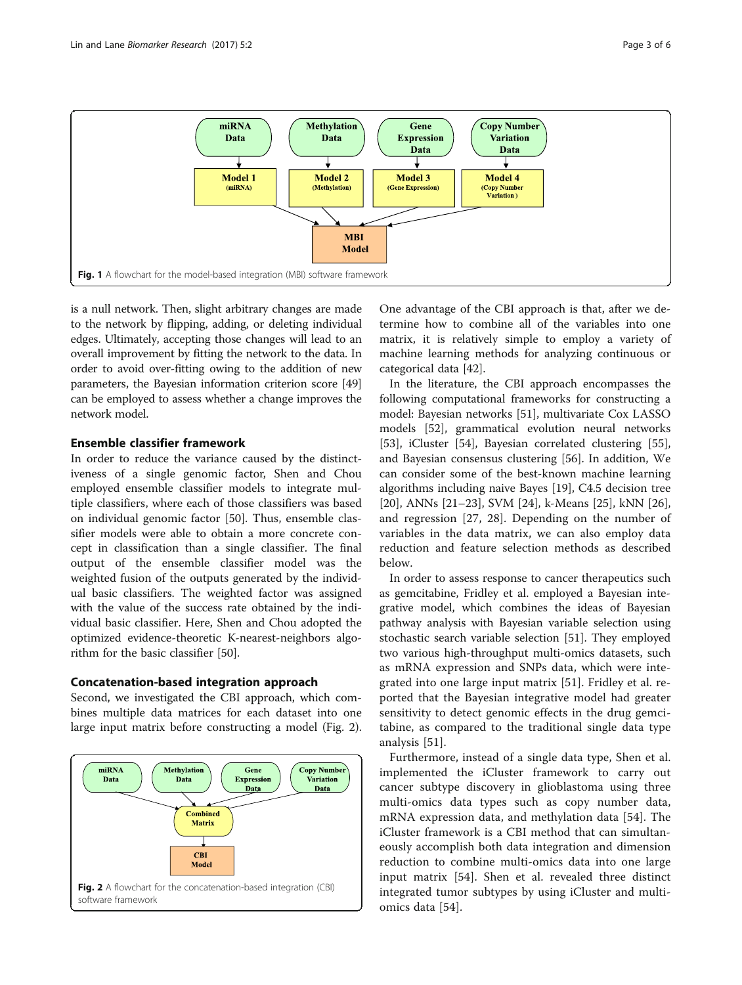<span id="page-2-0"></span>

is a null network. Then, slight arbitrary changes are made to the network by flipping, adding, or deleting individual edges. Ultimately, accepting those changes will lead to an overall improvement by fitting the network to the data. In order to avoid over-fitting owing to the addition of new parameters, the Bayesian information criterion score [[49](#page-5-0)] can be employed to assess whether a change improves the network model.

# Ensemble classifier framework

In order to reduce the variance caused by the distinctiveness of a single genomic factor, Shen and Chou employed ensemble classifier models to integrate multiple classifiers, where each of those classifiers was based on individual genomic factor [[50\]](#page-5-0). Thus, ensemble classifier models were able to obtain a more concrete concept in classification than a single classifier. The final output of the ensemble classifier model was the weighted fusion of the outputs generated by the individual basic classifiers. The weighted factor was assigned with the value of the success rate obtained by the individual basic classifier. Here, Shen and Chou adopted the optimized evidence-theoretic K-nearest-neighbors algorithm for the basic classifier [\[50](#page-5-0)].

### Concatenation-based integration approach

Second, we investigated the CBI approach, which combines multiple data matrices for each dataset into one large input matrix before constructing a model (Fig. 2).



One advantage of the CBI approach is that, after we determine how to combine all of the variables into one matrix, it is relatively simple to employ a variety of machine learning methods for analyzing continuous or categorical data [[42\]](#page-5-0).

In the literature, the CBI approach encompasses the following computational frameworks for constructing a model: Bayesian networks [[51\]](#page-5-0), multivariate Cox LASSO models [[52\]](#page-5-0), grammatical evolution neural networks [[53\]](#page-5-0), iCluster [[54](#page-5-0)], Bayesian correlated clustering [\[55](#page-5-0)], and Bayesian consensus clustering [[56\]](#page-5-0). In addition, We can consider some of the best-known machine learning algorithms including naive Bayes [\[19](#page-4-0)], C4.5 decision tree [[20\]](#page-5-0), ANNs [\[21](#page-5-0)–[23\]](#page-5-0), SVM [\[24\]](#page-5-0), k-Means [\[25\]](#page-5-0), kNN [\[26](#page-5-0)], and regression [[27](#page-5-0), [28](#page-5-0)]. Depending on the number of variables in the data matrix, we can also employ data reduction and feature selection methods as described below.

In order to assess response to cancer therapeutics such as gemcitabine, Fridley et al. employed a Bayesian integrative model, which combines the ideas of Bayesian pathway analysis with Bayesian variable selection using stochastic search variable selection [\[51\]](#page-5-0). They employed two various high-throughput multi-omics datasets, such as mRNA expression and SNPs data, which were integrated into one large input matrix [[51\]](#page-5-0). Fridley et al. reported that the Bayesian integrative model had greater sensitivity to detect genomic effects in the drug gemcitabine, as compared to the traditional single data type analysis [[51\]](#page-5-0).

Furthermore, instead of a single data type, Shen et al. implemented the iCluster framework to carry out cancer subtype discovery in glioblastoma using three multi-omics data types such as copy number data, mRNA expression data, and methylation data [\[54](#page-5-0)]. The iCluster framework is a CBI method that can simultaneously accomplish both data integration and dimension reduction to combine multi-omics data into one large input matrix [[54\]](#page-5-0). Shen et al. revealed three distinct integrated tumor subtypes by using iCluster and multiomics data [[54\]](#page-5-0).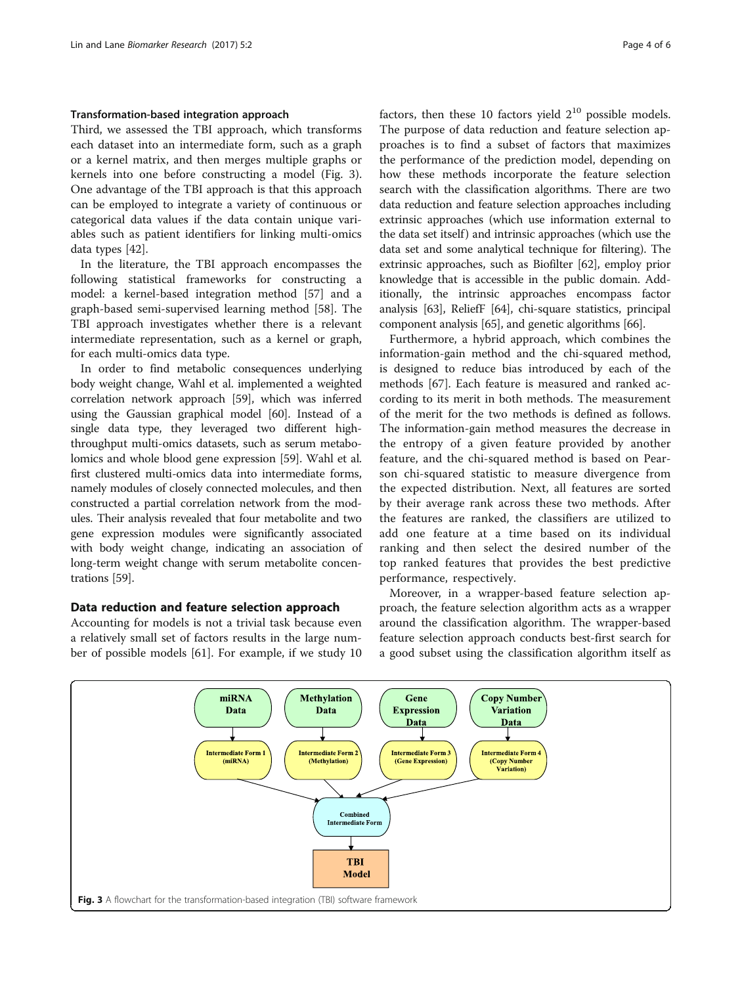# Transformation-based integration approach

Third, we assessed the TBI approach, which transforms each dataset into an intermediate form, such as a graph or a kernel matrix, and then merges multiple graphs or kernels into one before constructing a model (Fig. 3). One advantage of the TBI approach is that this approach can be employed to integrate a variety of continuous or categorical data values if the data contain unique variables such as patient identifiers for linking multi-omics data types [[42\]](#page-5-0).

In the literature, the TBI approach encompasses the following statistical frameworks for constructing a model: a kernel-based integration method [\[57\]](#page-5-0) and a graph-based semi-supervised learning method [\[58](#page-5-0)]. The TBI approach investigates whether there is a relevant intermediate representation, such as a kernel or graph, for each multi-omics data type.

In order to find metabolic consequences underlying body weight change, Wahl et al. implemented a weighted correlation network approach [\[59\]](#page-5-0), which was inferred using the Gaussian graphical model [\[60\]](#page-5-0). Instead of a single data type, they leveraged two different highthroughput multi-omics datasets, such as serum metabolomics and whole blood gene expression [[59](#page-5-0)]. Wahl et al. first clustered multi-omics data into intermediate forms, namely modules of closely connected molecules, and then constructed a partial correlation network from the modules. Their analysis revealed that four metabolite and two gene expression modules were significantly associated with body weight change, indicating an association of long-term weight change with serum metabolite concentrations [\[59\]](#page-5-0).

# Data reduction and feature selection approach

Accounting for models is not a trivial task because even a relatively small set of factors results in the large number of possible models [\[61](#page-5-0)]. For example, if we study 10 factors, then these 10 factors yield  $2^{10}$  possible models. The purpose of data reduction and feature selection approaches is to find a subset of factors that maximizes the performance of the prediction model, depending on how these methods incorporate the feature selection search with the classification algorithms. There are two data reduction and feature selection approaches including extrinsic approaches (which use information external to the data set itself) and intrinsic approaches (which use the data set and some analytical technique for filtering). The extrinsic approaches, such as Biofilter [[62\]](#page-5-0), employ prior knowledge that is accessible in the public domain. Additionally, the intrinsic approaches encompass factor analysis [[63\]](#page-5-0), ReliefF [\[64\]](#page-5-0), chi-square statistics, principal component analysis [\[65\]](#page-5-0), and genetic algorithms [\[66](#page-5-0)].

Furthermore, a hybrid approach, which combines the information-gain method and the chi-squared method, is designed to reduce bias introduced by each of the methods [[67\]](#page-5-0). Each feature is measured and ranked according to its merit in both methods. The measurement of the merit for the two methods is defined as follows. The information-gain method measures the decrease in the entropy of a given feature provided by another feature, and the chi-squared method is based on Pearson chi-squared statistic to measure divergence from the expected distribution. Next, all features are sorted by their average rank across these two methods. After the features are ranked, the classifiers are utilized to add one feature at a time based on its individual ranking and then select the desired number of the top ranked features that provides the best predictive performance, respectively.

Moreover, in a wrapper-based feature selection approach, the feature selection algorithm acts as a wrapper around the classification algorithm. The wrapper-based feature selection approach conducts best-first search for a good subset using the classification algorithm itself as

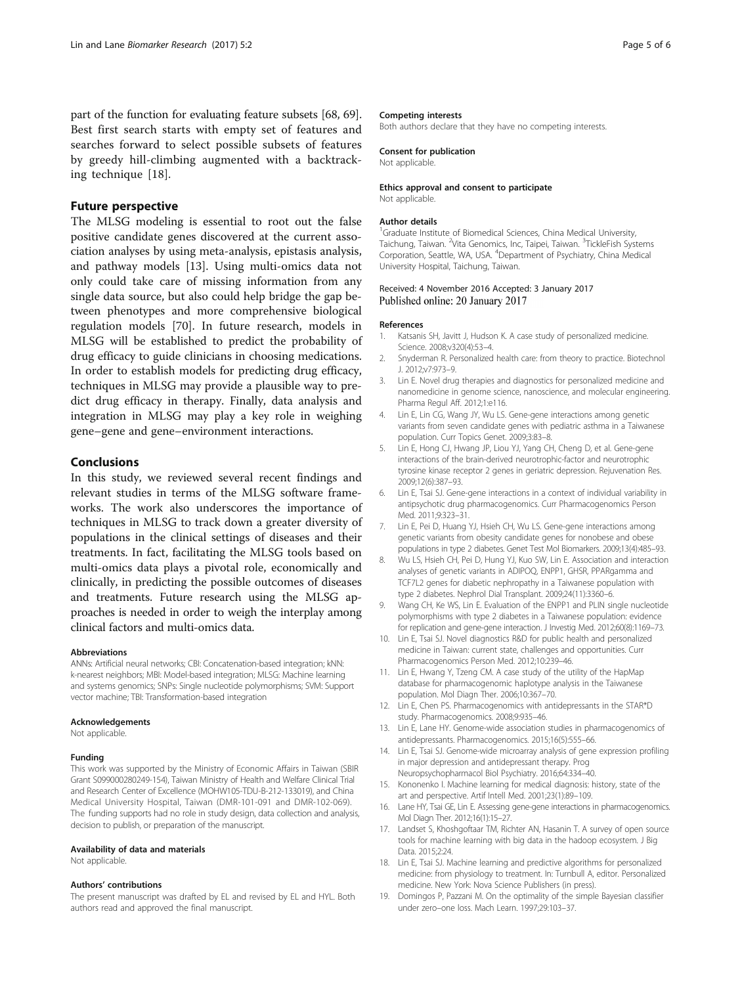<span id="page-4-0"></span>part of the function for evaluating feature subsets [\[68, 69](#page-5-0)]. Best first search starts with empty set of features and searches forward to select possible subsets of features by greedy hill-climbing augmented with a backtracking technique [18].

# Future perspective

The MLSG modeling is essential to root out the false positive candidate genes discovered at the current association analyses by using meta-analysis, epistasis analysis, and pathway models [13]. Using multi-omics data not only could take care of missing information from any single data source, but also could help bridge the gap between phenotypes and more comprehensive biological regulation models [\[70](#page-5-0)]. In future research, models in MLSG will be established to predict the probability of drug efficacy to guide clinicians in choosing medications. In order to establish models for predicting drug efficacy, techniques in MLSG may provide a plausible way to predict drug efficacy in therapy. Finally, data analysis and integration in MLSG may play a key role in weighing gene–gene and gene–environment interactions.

# Conclusions

In this study, we reviewed several recent findings and relevant studies in terms of the MLSG software frameworks. The work also underscores the importance of techniques in MLSG to track down a greater diversity of populations in the clinical settings of diseases and their treatments. In fact, facilitating the MLSG tools based on multi-omics data plays a pivotal role, economically and clinically, in predicting the possible outcomes of diseases and treatments. Future research using the MLSG approaches is needed in order to weigh the interplay among clinical factors and multi-omics data.

#### **Abbreviations**

ANNs: Artificial neural networks; CBI: Concatenation-based integration; kNN: k-nearest neighbors; MBI: Model-based integration; MLSG: Machine learning and systems genomics; SNPs: Single nucleotide polymorphisms; SVM: Support vector machine; TBI: Transformation-based integration

#### Acknowledgements

Not applicable.

#### Funding

This work was supported by the Ministry of Economic Affairs in Taiwan (SBIR Grant S099000280249-154), Taiwan Ministry of Health and Welfare Clinical Trial and Research Center of Excellence (MOHW105-TDU-B-212-133019), and China Medical University Hospital, Taiwan (DMR-101-091 and DMR-102-069). The funding supports had no role in study design, data collection and analysis, decision to publish, or preparation of the manuscript.

#### Availability of data and materials

Not applicable.

#### Authors' contributions

The present manuscript was drafted by EL and revised by EL and HYL. Both authors read and approved the final manuscript.

#### Competing interests

Both authors declare that they have no competing interests.

#### Consent for publication

Not applicable.

#### Ethics approval and consent to participate Not applicable.

#### Author details

<sup>1</sup>Graduate Institute of Biomedical Sciences, China Medical University, Taichung, Taiwan. <sup>2</sup>Vita Genomics, Inc, Taipei, Taiwan. <sup>3</sup>TickleFish Systems Corporation, Seattle, WA, USA. <sup>4</sup> Department of Psychiatry, China Medical University Hospital, Taichung, Taiwan.

#### Received: 4 November 2016 Accepted: 3 January 2017 Published online: 20 January 2017

#### References

- 1. Katsanis SH, Javitt J, Hudson K. A case study of personalized medicine. Science. 2008;v320(4):53–4.
- 2. Snyderman R. Personalized health care: from theory to practice. Biotechnol J. 2012;v7:973–9.
- 3. Lin E. Novel drug therapies and diagnostics for personalized medicine and nanomedicine in genome science, nanoscience, and molecular engineering. Pharma Regul Aff. 2012;1:e116.
- 4. Lin E, Lin CG, Wang JY, Wu LS. Gene-gene interactions among genetic variants from seven candidate genes with pediatric asthma in a Taiwanese population. Curr Topics Genet. 2009;3:83–8.
- 5. Lin E, Hong CJ, Hwang JP, Liou YJ, Yang CH, Cheng D, et al. Gene-gene interactions of the brain-derived neurotrophic-factor and neurotrophic tyrosine kinase receptor 2 genes in geriatric depression. Rejuvenation Res. 2009;12(6):387–93.
- 6. Lin E, Tsai SJ. Gene-gene interactions in a context of individual variability in antipsychotic drug pharmacogenomics. Curr Pharmacogenomics Person Med. 2011;9:323–31.
- 7. Lin E, Pei D, Huang YJ, Hsieh CH, Wu LS. Gene-gene interactions among genetic variants from obesity candidate genes for nonobese and obese populations in type 2 diabetes. Genet Test Mol Biomarkers. 2009;13(4):485–93.
- 8. Wu LS, Hsieh CH, Pei D, Hung YJ, Kuo SW, Lin E. Association and interaction analyses of genetic variants in ADIPOQ, ENPP1, GHSR, PPARgamma and TCF7L2 genes for diabetic nephropathy in a Taiwanese population with type 2 diabetes. Nephrol Dial Transplant. 2009;24(11):3360–6.
- 9. Wang CH, Ke WS, Lin E. Evaluation of the ENPP1 and PLIN single nucleotide polymorphisms with type 2 diabetes in a Taiwanese population: evidence for replication and gene-gene interaction. J Investig Med. 2012;60(8):1169–73.
- 10. Lin E, Tsai SJ. Novel diagnostics R&D for public health and personalized medicine in Taiwan: current state, challenges and opportunities. Curr Pharmacogenomics Person Med. 2012;10:239–46.
- 11. Lin E, Hwang Y, Tzeng CM. A case study of the utility of the HapMap database for pharmacogenomic haplotype analysis in the Taiwanese population. Mol Diagn Ther. 2006;10:367–70.
- 12. Lin E, Chen PS. Pharmacogenomics with antidepressants in the STAR\*D study. Pharmacogenomics. 2008;9:935–46.
- 13. Lin E, Lane HY. Genome-wide association studies in pharmacogenomics of antidepressants. Pharmacogenomics. 2015;16(5):555–66.
- 14. Lin E, Tsai SJ. Genome-wide microarray analysis of gene expression profiling in major depression and antidepressant therapy. Prog Neuropsychopharmacol Biol Psychiatry. 2016;64:334–40.
- 15. Kononenko I. Machine learning for medical diagnosis: history, state of the art and perspective. Artif Intell Med. 2001;23(1):89–109.
- 16. Lane HY, Tsai GE, Lin E. Assessing gene-gene interactions in pharmacogenomics. Mol Diagn Ther. 2012;16(1):15–27.
- 17. Landset S, Khoshgoftaar TM, Richter AN, Hasanin T. A survey of open source tools for machine learning with big data in the hadoop ecosystem. J Big Data. 2015;2:24.
- 18. Lin E, Tsai SJ. Machine learning and predictive algorithms for personalized medicine: from physiology to treatment. In: Turnbull A, editor. Personalized medicine. New York: Nova Science Publishers (in press).
- 19. Domingos P, Pazzani M. On the optimality of the simple Bayesian classifier under zero–one loss. Mach Learn. 1997;29:103–37.